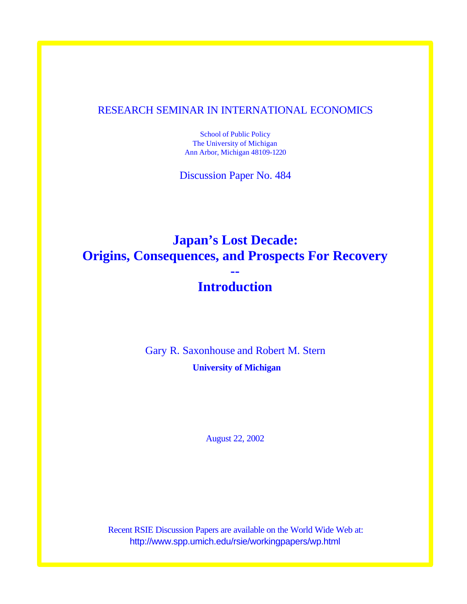### RESEARCH SEMINAR IN INTERNATIONAL ECONOMICS

School of Public Policy The University of Michigan Ann Arbor, Michigan 48109-1220

Discussion Paper No. 484

# **Japan's Lost Decade: Origins, Consequences, and Prospects For Recovery --**

# **Introduction**

Gary R. Saxonhouse and Robert M. Stern **University of Michigan**

August 22, 2002

Recent RSIE Discussion Papers are available on the World Wide Web at: http://www.spp.umich.edu/rsie/workingpapers/wp.html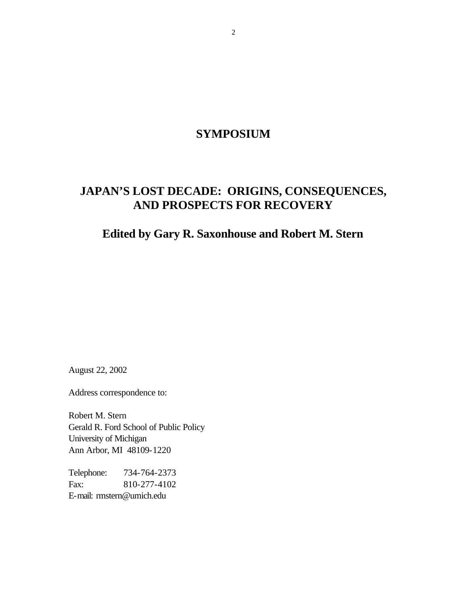### **SYMPOSIUM**

## **JAPAN'S LOST DECADE: ORIGINS, CONSEQUENCES, AND PROSPECTS FOR RECOVERY**

### **Edited by Gary R. Saxonhouse and Robert M. Stern**

August 22, 2002

Address correspondence to:

Robert M. Stern Gerald R. Ford School of Public Policy University of Michigan Ann Arbor, MI 48109-1220

Telephone: 734-764-2373 Fax: 810-277-4102 E-mail: rmstern@umich.edu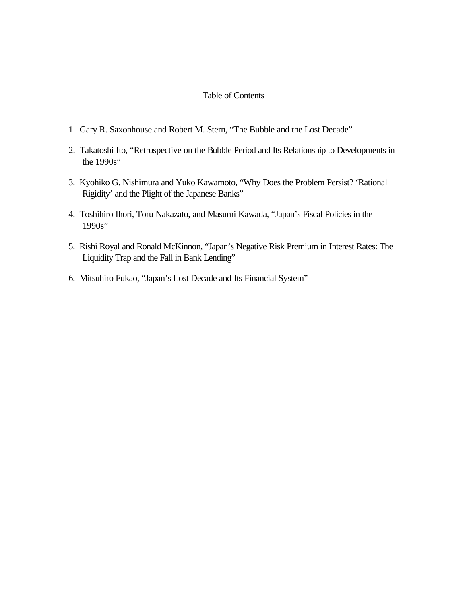#### Table of Contents

- 1. Gary R. Saxonhouse and Robert M. Stern, "The Bubble and the Lost Decade"
- 2. Takatoshi Ito, "Retrospective on the Bubble Period and Its Relationship to Developments in the 1990s"
- 3. Kyohiko G. Nishimura and Yuko Kawamoto, "Why Does the Problem Persist? 'Rational Rigidity' and the Plight of the Japanese Banks"
- 4. Toshihiro Ihori, Toru Nakazato, and Masumi Kawada, "Japan's Fiscal Policies in the 1990s"
- 5. Rishi Royal and Ronald McKinnon, "Japan's Negative Risk Premium in Interest Rates: The Liquidity Trap and the Fall in Bank Lending"
- 6. Mitsuhiro Fukao, "Japan's Lost Decade and Its Financial System"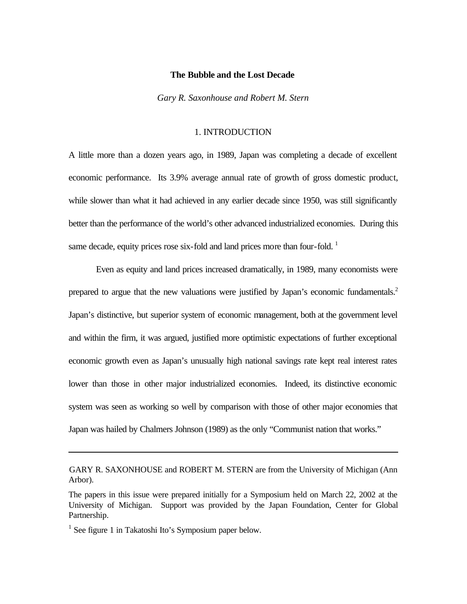#### **The Bubble and the Lost Decade**

*Gary R. Saxonhouse and Robert M. Stern\**

#### 1. INTRODUCTION

A little more than a dozen years ago, in 1989, Japan was completing a decade of excellent economic performance. Its 3.9% average annual rate of growth of gross domestic product, while slower than what it had achieved in any earlier decade since 1950, was still significantly better than the performance of the world's other advanced industrialized economies. During this same decade, equity prices rose six-fold and land prices more than four-fold.  $1$ 

Even as equity and land prices increased dramatically, in 1989, many economists were prepared to argue that the new valuations were justified by Japan's economic fundamentals.<sup>2</sup> Japan's distinctive, but superior system of economic management, both at the government level and within the firm, it was argued, justified more optimistic expectations of further exceptional economic growth even as Japan's unusually high national savings rate kept real interest rates lower than those in other major industrialized economies. Indeed, its distinctive economic system was seen as working so well by comparison with those of other major economies that Japan was hailed by Chalmers Johnson (1989) as the only "Communist nation that works."

<sup>1</sup> See figure 1 in Takatoshi Ito's Symposium paper below.

GARY R. SAXONHOUSE and ROBERT M. STERN are from the University of Michigan (Ann Arbor).

The papers in this issue were prepared initially for a Symposium held on March 22, 2002 at the University of Michigan. Support was provided by the Japan Foundation, Center for Global Partnership.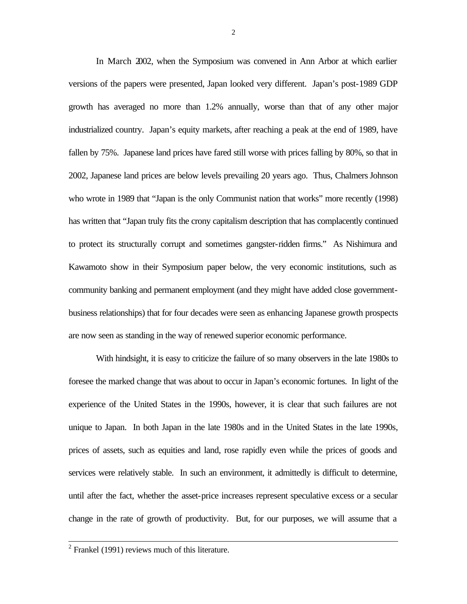In March 2002, when the Symposium was convened in Ann Arbor at which earlier versions of the papers were presented, Japan looked very different. Japan's post-1989 GDP growth has averaged no more than 1.2% annually, worse than that of any other major industrialized country. Japan's equity markets, after reaching a peak at the end of 1989, have fallen by 75%. Japanese land prices have fared still worse with prices falling by 80%, so that in 2002, Japanese land prices are below levels prevailing 20 years ago. Thus, Chalmers Johnson who wrote in 1989 that "Japan is the only Communist nation that works" more recently (1998) has written that "Japan truly fits the crony capitalism description that has complacently continued to protect its structurally corrupt and sometimes gangster-ridden firms." As Nishimura and Kawamoto show in their Symposium paper below, the very economic institutions, such as community banking and permanent employment (and they might have added close governmentbusiness relationships) that for four decades were seen as enhancing Japanese growth prospects are now seen as standing in the way of renewed superior economic performance.

With hindsight, it is easy to criticize the failure of so many observers in the late 1980s to foresee the marked change that was about to occur in Japan's economic fortunes. In light of the experience of the United States in the 1990s, however, it is clear that such failures are not unique to Japan. In both Japan in the late 1980s and in the United States in the late 1990s, prices of assets, such as equities and land, rose rapidly even while the prices of goods and services were relatively stable. In such an environment, it admittedly is difficult to determine, until after the fact, whether the asset-price increases represent speculative excess or a secular change in the rate of growth of productivity. But, for our purposes, we will assume that a

<sup>&</sup>lt;sup>2</sup> Frankel (1991) reviews much of this literature.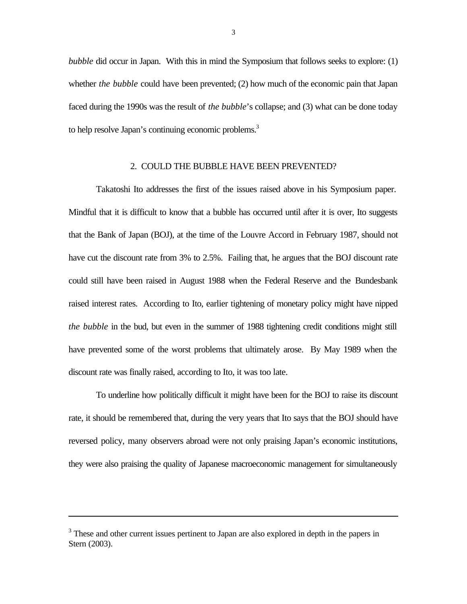*bubble* did occur in Japan. With this in mind the Symposium that follows seeks to explore: (1) whether *the bubble* could have been prevented; (2) how much of the economic pain that Japan faced during the 1990s was the result of *the bubble*'s collapse; and (3) what can be done today to help resolve Japan's continuing economic problems.<sup>3</sup>

#### 2. COULD THE BUBBLE HAVE BEEN PREVENTED?

Takatoshi Ito addresses the first of the issues raised above in his Symposium paper. Mindful that it is difficult to know that a bubble has occurred until after it is over, Ito suggests that the Bank of Japan (BOJ), at the time of the Louvre Accord in February 1987, should not have cut the discount rate from 3% to 2.5%. Failing that, he argues that the BOJ discount rate could still have been raised in August 1988 when the Federal Reserve and the Bundesbank raised interest rates. According to Ito, earlier tightening of monetary policy might have nipped *the bubble* in the bud, but even in the summer of 1988 tightening credit conditions might still have prevented some of the worst problems that ultimately arose. By May 1989 when the discount rate was finally raised, according to Ito, it was too late.

To underline how politically difficult it might have been for the BOJ to raise its discount rate, it should be remembered that, during the very years that Ito says that the BOJ should have reversed policy, many observers abroad were not only praising Japan's economic institutions, they were also praising the quality of Japanese macroeconomic management for simultaneously

<sup>&</sup>lt;sup>3</sup> These and other current issues pertinent to Japan are also explored in depth in the papers in Stern (2003).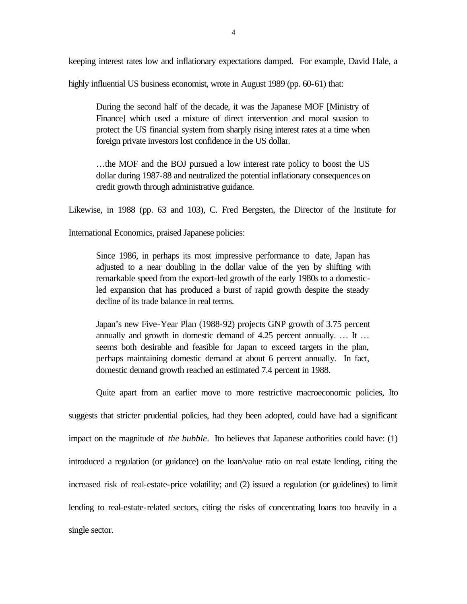keeping interest rates low and inflationary expectations damped. For example, David Hale, a

highly influential US business economist, wrote in August 1989 (pp. 60-61) that:

During the second half of the decade, it was the Japanese MOF [Ministry of Finance] which used a mixture of direct intervention and moral suasion to protect the US financial system from sharply rising interest rates at a time when foreign private investors lost confidence in the US dollar.

…the MOF and the BOJ pursued a low interest rate policy to boost the US dollar during 1987-88 and neutralized the potential inflationary consequences on credit growth through administrative guidance.

Likewise, in 1988 (pp. 63 and 103), C. Fred Bergsten, the Director of the Institute for

International Economics, praised Japanese policies:

Since 1986, in perhaps its most impressive performance to date, Japan has adjusted to a near doubling in the dollar value of the yen by shifting with remarkable speed from the export-led growth of the early 1980s to a domesticled expansion that has produced a burst of rapid growth despite the steady decline of its trade balance in real terms.

Japan's new Five-Year Plan (1988-92) projects GNP growth of 3.75 percent annually and growth in domestic demand of 4.25 percent annually. … It … seems both desirable and feasible for Japan to exceed targets in the plan, perhaps maintaining domestic demand at about 6 percent annually. In fact, domestic demand growth reached an estimated 7.4 percent in 1988.

Quite apart from an earlier move to more restrictive macroeconomic policies, Ito suggests that stricter prudential policies, had they been adopted, could have had a significant impact on the magnitude of *the bubble*. Ito believes that Japanese authorities could have: (1) introduced a regulation (or guidance) on the loan/value ratio on real estate lending, citing the increased risk of real-estate-price volatility; and (2) issued a regulation (or guidelines) to limit lending to real-estate-related sectors, citing the risks of concentrating loans too heavily in a single sector.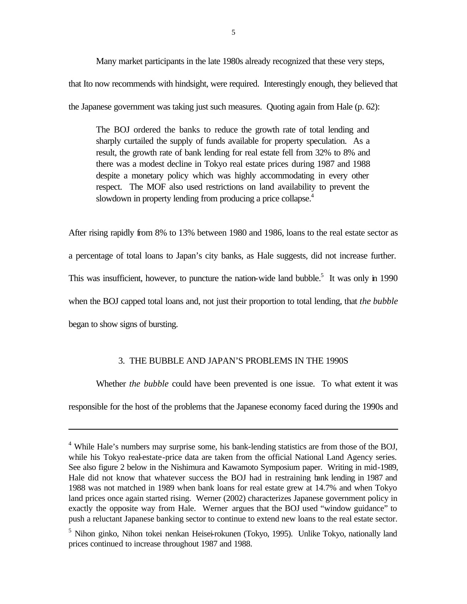Many market participants in the late 1980s already recognized that these very steps, that Ito now recommends with hindsight, were required. Interestingly enough, they believed that the Japanese government was taking just such measures. Quoting again from Hale (p. 62):

The BOJ ordered the banks to reduce the growth rate of total lending and sharply curtailed the supply of funds available for property speculation. As a result, the growth rate of bank lending for real estate fell from 32% to 8% and there was a modest decline in Tokyo real estate prices during 1987 and 1988 despite a monetary policy which was highly accommodating in every other respect. The MOF also used restrictions on land availability to prevent the slowdown in property lending from producing a price collapse.<sup>4</sup>

After rising rapidly from 8% to 13% between 1980 and 1986, loans to the real estate sector as a percentage of total loans to Japan's city banks, as Hale suggests, did not increase further. This was insufficient, however, to puncture the nation-wide land bubble.<sup>5</sup> It was only in 1990 when the BOJ capped total loans and, not just their proportion to total lending, that *the bubble* began to show signs of bursting.

#### 3. THE BUBBLE AND JAPAN'S PROBLEMS IN THE 1990S

Whether *the bubble* could have been prevented is one issue. To what extent it was responsible for the host of the problems that the Japanese economy faced during the 1990s and

<sup>&</sup>lt;sup>4</sup> While Hale's numbers may surprise some, his bank-lending statistics are from those of the BOJ, while his Tokyo real-estate-price data are taken from the official National Land Agency series. See also figure 2 below in the Nishimura and Kawamoto Symposium paper. Writing in mid-1989, Hale did not know that whatever success the BOJ had in restraining bank lending in 1987 and 1988 was not matched in 1989 when bank loans for real estate grew at 14.7% and when Tokyo land prices once again started rising. Werner (2002) characterizes Japanese government policy in exactly the opposite way from Hale. Werner argues that the BOJ used "window guidance" to push a reluctant Japanese banking sector to continue to extend new loans to the real estate sector.

<sup>&</sup>lt;sup>5</sup> Nihon ginko, Nihon tokei nenkan Heisei-rokunen (Tokyo, 1995). Unlike Tokyo, nationally land prices continued to increase throughout 1987 and 1988.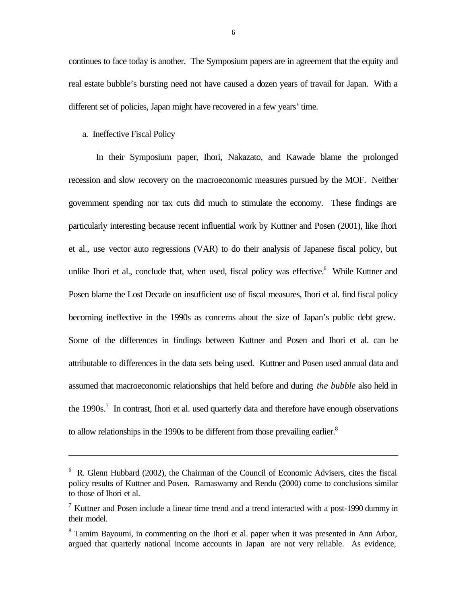continues to face today is another. The Symposium papers are in agreement that the equity and real estate bubble's bursting need not have caused a dozen years of travail for Japan. With a different set of policies, Japan might have recovered in a few years' time.

#### a. Ineffective Fiscal Policy

l

In their Symposium paper, Ihori, Nakazato, and Kawade blame the prolonged recession and slow recovery on the macroeconomic measures pursued by the MOF. Neither government spending nor tax cuts did much to stimulate the economy. These findings are particularly interesting because recent influential work by Kuttner and Posen (2001), like Ihori et al., use vector auto regressions (VAR) to do their analysis of Japanese fiscal policy, but unlike Ihori et al., conclude that, when used, fiscal policy was effective.<sup>6</sup> While Kuttner and Posen blame the Lost Decade on insufficient use of fiscal measures, Ihori et al. find fiscal policy becoming ineffective in the 1990s as concerns about the size of Japan's public debt grew. Some of the differences in findings between Kuttner and Posen and Ihori et al. can be attributable to differences in the data sets being used. Kuttner and Posen used annual data and assumed that macroeconomic relationships that held before and during *the bubble* also held in the  $1990s$ .<sup>7</sup> In contrast, Ihori et al. used quarterly data and therefore have enough observations to allow relationships in the 1990s to be different from those prevailing earlier.<sup>8</sup>

<sup>&</sup>lt;sup>6</sup> R. Glenn Hubbard (2002), the Chairman of the Council of Economic Advisers, cites the fiscal policy results of Kuttner and Posen. Ramaswamy and Rendu (2000) come to conclusions similar to those of Ihori et al.

<sup>&</sup>lt;sup>7</sup> Kuttner and Posen include a linear time trend and a trend interacted with a post-1990 dummy in their model.

 $8$  Tamim Bayoumi, in commenting on the Ihori et al. paper when it was presented in Ann Arbor, argued that quarterly national income accounts in Japan are not very reliable. As evidence,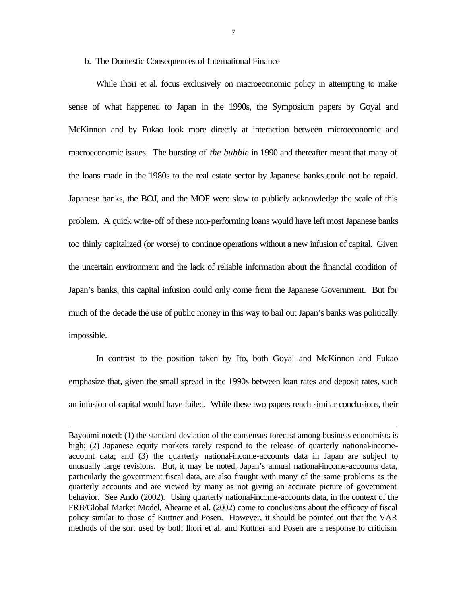#### b. The Domestic Consequences of International Finance

While Ihori et al. focus exclusively on macroeconomic policy in attempting to make sense of what happened to Japan in the 1990s, the Symposium papers by Goyal and McKinnon and by Fukao look more directly at interaction between microeconomic and macroeconomic issues. The bursting of *the bubble* in 1990 and thereafter meant that many of the loans made in the 1980s to the real estate sector by Japanese banks could not be repaid. Japanese banks, the BOJ, and the MOF were slow to publicly acknowledge the scale of this problem. A quick write-off of these non-performing loans would have left most Japanese banks too thinly capitalized (or worse) to continue operations without a new infusion of capital. Given the uncertain environment and the lack of reliable information about the financial condition of Japan's banks, this capital infusion could only come from the Japanese Government. But for much of the decade the use of public money in this way to bail out Japan's banks was politically impossible.

In contrast to the position taken by Ito, both Goyal and McKinnon and Fukao emphasize that, given the small spread in the 1990s between loan rates and deposit rates, such an infusion of capital would have failed. While these two papers reach similar conclusions, their

Bayoumi noted: (1) the standard deviation of the consensus forecast among business economists is high; (2) Japanese equity markets rarely respond to the release of quarterly national-incomeaccount data; and (3) the quarterly national-income-accounts data in Japan are subject to unusually large revisions. But, it may be noted, Japan's annual national-income-accounts data, particularly the government fiscal data, are also fraught with many of the same problems as the quarterly accounts and are viewed by many as not giving an accurate picture of government behavior. See Ando (2002). Using quarterly national*-*income-accounts data, in the context of the FRB/Global Market Model, Ahearne et al. (2002) come to conclusions about the efficacy of fiscal policy similar to those of Kuttner and Posen. However, it should be pointed out that the VAR methods of the sort used by both Ihori et al. and Kuttner and Posen are a response to criticism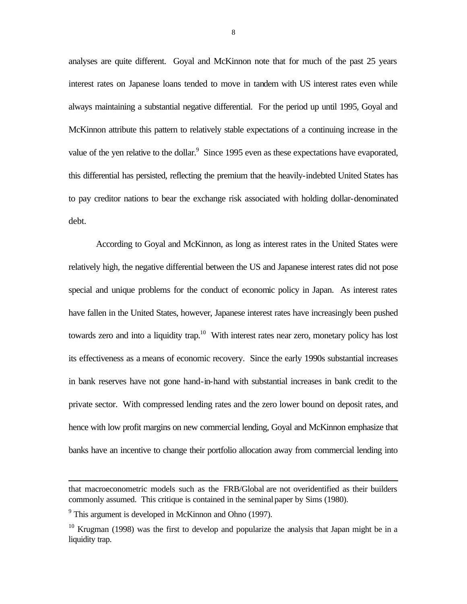analyses are quite different. Goyal and McKinnon note that for much of the past 25 years interest rates on Japanese loans tended to move in tandem with US interest rates even while always maintaining a substantial negative differential. For the period up until 1995, Goyal and McKinnon attribute this pattern to relatively stable expectations of a continuing increase in the value of the yen relative to the dollar. $9$  Since 1995 even as these expectations have evaporated, this differential has persisted, reflecting the premium that the heavily-indebted United States has to pay creditor nations to bear the exchange risk associated with holding dollar-denominated debt.

According to Goyal and McKinnon, as long as interest rates in the United States were relatively high, the negative differential between the US and Japanese interest rates did not pose special and unique problems for the conduct of economic policy in Japan. As interest rates have fallen in the United States, however, Japanese interest rates have increasingly been pushed towards zero and into a liquidity trap.<sup>10</sup> With interest rates near zero, monetary policy has lost its effectiveness as a means of economic recovery. Since the early 1990s substantial increases in bank reserves have not gone hand-in-hand with substantial increases in bank credit to the private sector. With compressed lending rates and the zero lower bound on deposit rates, and hence with low profit margins on new commercial lending, Goyal and McKinnon emphasize that banks have an incentive to change their portfolio allocation away from commercial lending into

that macroeconometric models such as the FRB/Global are not overidentified as their builders commonly assumed. This critique is contained in the seminal paper by Sims (1980).

<sup>&</sup>lt;sup>9</sup> This argument is developed in McKinnon and Ohno (1997).

 $10$  Krugman (1998) was the first to develop and popularize the analysis that Japan might be in a liquidity trap.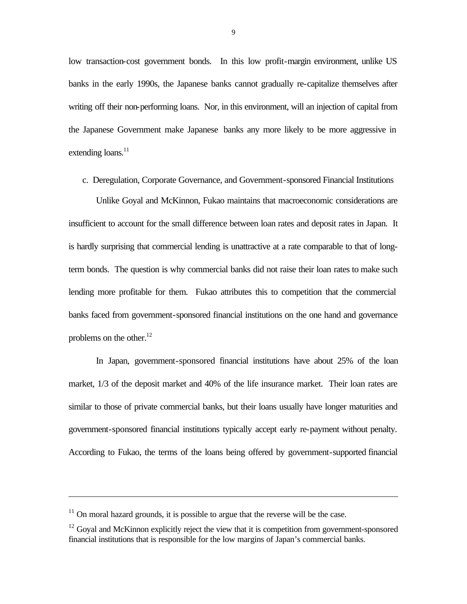low transaction-cost government bonds. In this low profit-margin environment, unlike US banks in the early 1990s, the Japanese banks cannot gradually re-capitalize themselves after writing off their non-performing loans. Nor, in this environment, will an injection of capital from the Japanese Government make Japanese banks any more likely to be more aggressive in extending loans.<sup>11</sup>

c. Deregulation, Corporate Governance, and Government-sponsored Financial Institutions

Unlike Goyal and McKinnon, Fukao maintains that macroeconomic considerations are insufficient to account for the small difference between loan rates and deposit rates in Japan. It is hardly surprising that commercial lending is unattractive at a rate comparable to that of longterm bonds. The question is why commercial banks did not raise their loan rates to make such lending more profitable for them. Fukao attributes this to competition that the commercial banks faced from government-sponsored financial institutions on the one hand and governance problems on the other. $12$ 

In Japan, government-sponsored financial institutions have about 25% of the loan market, 1/3 of the deposit market and 40% of the life insurance market. Their loan rates are similar to those of private commercial banks, but their loans usually have longer maturities and government-sponsored financial institutions typically accept early re-payment without penalty. According to Fukao, the terms of the loans being offered by government-supported financial

 $11$  On moral hazard grounds, it is possible to argue that the reverse will be the case.

 $12$  Goyal and McKinnon explicitly reject the view that it is competition from government-sponsored financial institutions that is responsible for the low margins of Japan's commercial banks.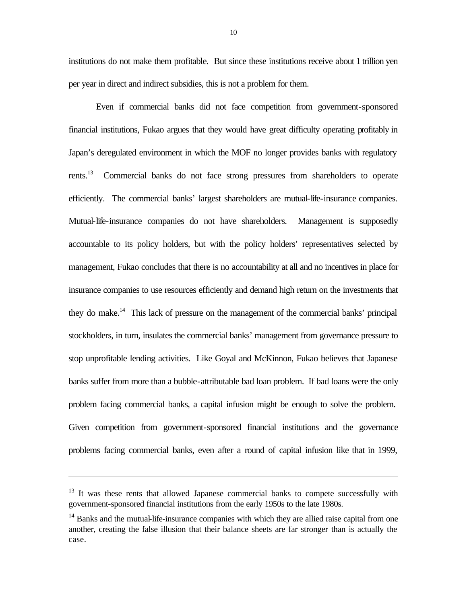institutions do not make them profitable. But since these institutions receive about 1 trillion yen per year in direct and indirect subsidies, this is not a problem for them.

Even if commercial banks did not face competition from government-sponsored financial institutions, Fukao argues that they would have great difficulty operating profitably in Japan's deregulated environment in which the MOF no longer provides banks with regulatory rents.<sup>13</sup> Commercial banks do not face strong pressures from shareholders to operate efficiently. The commercial banks' largest shareholders are mutual-life-insurance companies. Mutual-life-insurance companies do not have shareholders. Management is supposedly accountable to its policy holders, but with the policy holders' representatives selected by management, Fukao concludes that there is no accountability at all and no incentives in place for insurance companies to use resources efficiently and demand high return on the investments that they do make.<sup>14</sup> This lack of pressure on the management of the commercial banks' principal stockholders, in turn, insulates the commercial banks' management from governance pressure to stop unprofitable lending activities. Like Goyal and McKinnon, Fukao believes that Japanese banks suffer from more than a bubble-attributable bad loan problem. If bad loans were the only problem facing commercial banks, a capital infusion might be enough to solve the problem. Given competition from government-sponsored financial institutions and the governance problems facing commercial banks, even after a round of capital infusion like that in 1999,

 $13$  It was these rents that allowed Japanese commercial banks to compete successfully with government-sponsored financial institutions from the early 1950s to the late 1980s.

 $14$  Banks and the mutual-life-insurance companies with which they are allied raise capital from one another, creating the false illusion that their balance sheets are far stronger than is actually the case.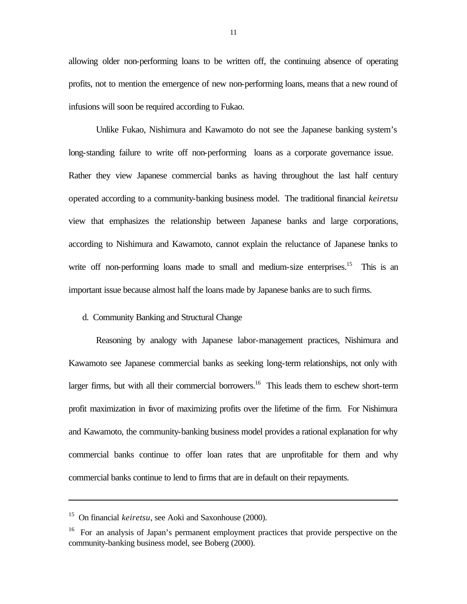allowing older non-performing loans to be written off, the continuing absence of operating profits, not to mention the emergence of new non-performing loans, means that a new round of infusions will soon be required according to Fukao.

Unlike Fukao, Nishimura and Kawamoto do not see the Japanese banking system's long-standing failure to write off non-performing loans as a corporate governance issue. Rather they view Japanese commercial banks as having throughout the last half century operated according to a community-banking business model. The traditional financial *keiretsu* view that emphasizes the relationship between Japanese banks and large corporations, according to Nishimura and Kawamoto, cannot explain the reluctance of Japanese banks to write off non-performing loans made to small and medium-size enterprises.<sup>15</sup> This is an important issue because almost half the loans made by Japanese banks are to such firms.

#### d. Community Banking and Structural Change

Reasoning by analogy with Japanese labor-management practices, Nishimura and Kawamoto see Japanese commercial banks as seeking long-term relationships, not only with larger firms, but with all their commercial borrowers.<sup>16</sup> This leads them to eschew short-term profit maximization in favor of maximizing profits over the lifetime of the firm. For Nishimura and Kawamoto, the community-banking business model provides a rational explanation for why commercial banks continue to offer loan rates that are unprofitable for them and why commercial banks continue to lend to firms that are in default on their repayments.

<sup>15</sup> On financial *keiretsu*, see Aoki and Saxonhouse (2000).

<sup>&</sup>lt;sup>16</sup> For an analysis of Japan's permanent employment practices that provide perspective on the community-banking business model, see Boberg (2000).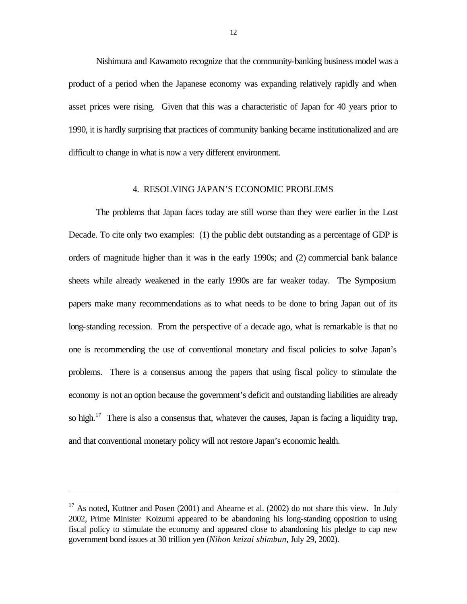Nishimura and Kawamoto recognize that the community-banking business model was a product of a period when the Japanese economy was expanding relatively rapidly and when asset prices were rising. Given that this was a characteristic of Japan for 40 years prior to 1990, it is hardly surprising that practices of community banking became institutionalized and are difficult to change in what is now a very different environment.

#### 4. RESOLVING JAPAN'S ECONOMIC PROBLEMS

The problems that Japan faces today are still worse than they were earlier in the Lost Decade. To cite only two examples: (1) the public debt outstanding as a percentage of GDP is orders of magnitude higher than it was in the early 1990s; and (2) commercial bank balance sheets while already weakened in the early 1990s are far weaker today. The Symposium papers make many recommendations as to what needs to be done to bring Japan out of its long-standing recession. From the perspective of a decade ago, what is remarkable is that no one is recommending the use of conventional monetary and fiscal policies to solve Japan's problems. There is a consensus among the papers that using fiscal policy to stimulate the economy is not an option because the government's deficit and outstanding liabilities are already so high.<sup>17</sup> There is also a consensus that, whatever the causes, Japan is facing a liquidity trap, and that conventional monetary policy will not restore Japan's economic health.

<sup>&</sup>lt;sup>17</sup> As noted, Kuttner and Posen (2001) and Ahearne et al. (2002) do not share this view. In July 2002, Prime Minister Koizumi appeared to be abandoning his long-standing opposition to using fiscal policy to stimulate the economy and appeared close to abandoning his pledge to cap new government bond issues at 30 trillion yen (*Nihon keizai shimbun*, July 29, 2002).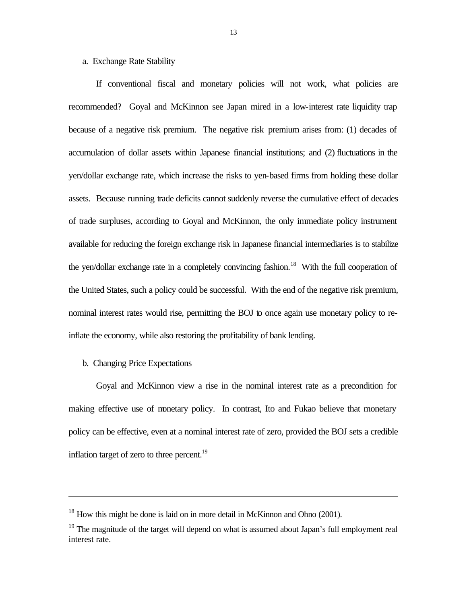#### a. Exchange Rate Stability

If conventional fiscal and monetary policies will not work, what policies are recommended? Goyal and McKinnon see Japan mired in a low-interest rate liquidity trap because of a negative risk premium. The negative risk premium arises from: (1) decades of accumulation of dollar assets within Japanese financial institutions; and (2) fluctuations in the yen/dollar exchange rate, which increase the risks to yen-based firms from holding these dollar assets. Because running trade deficits cannot suddenly reverse the cumulative effect of decades of trade surpluses, according to Goyal and McKinnon, the only immediate policy instrument available for reducing the foreign exchange risk in Japanese financial intermediaries is to stabilize the yen/dollar exchange rate in a completely convincing fashion.<sup>18</sup> With the full cooperation of the United States, such a policy could be successful. With the end of the negative risk premium, nominal interest rates would rise, permitting the BOJ to once again use monetary policy to reinflate the economy, while also restoring the profitability of bank lending.

b. Changing Price Expectations

l

Goyal and McKinnon view a rise in the nominal interest rate as a precondition for making effective use of monetary policy. In contrast, Ito and Fukao believe that monetary policy can be effective, even at a nominal interest rate of zero, provided the BOJ sets a credible inflation target of zero to three percent. $^{19}$ 

 $18$  How this might be done is laid on in more detail in McKinnon and Ohno (2001).

 $19$  The magnitude of the target will depend on what is assumed about Japan's full employment real interest rate.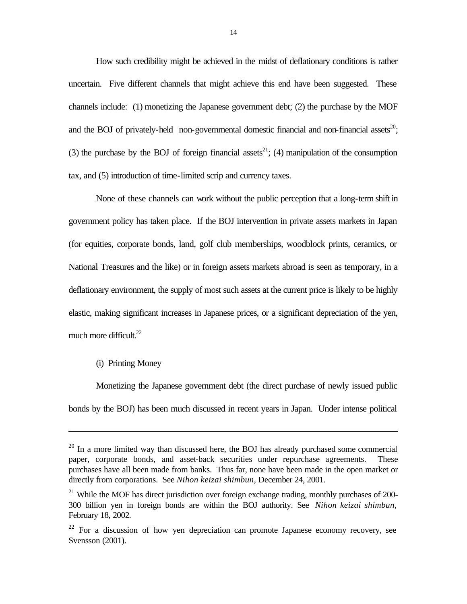How such credibility might be achieved in the midst of deflationary conditions is rather uncertain. Five different channels that might achieve this end have been suggested. These channels include: (1) monetizing the Japanese government debt; (2) the purchase by the MOF and the BOJ of privately-held non-governmental domestic financial and non-financial assets<sup>20</sup>: (3) the purchase by the BOJ of foreign financial assets<sup>21</sup>; (4) manipulation of the consumption tax, and (5) introduction of time-limited scrip and currency taxes.

None of these channels can work without the public perception that a long-term shift in government policy has taken place. If the BOJ intervention in private assets markets in Japan (for equities, corporate bonds, land, golf club memberships, woodblock prints, ceramics, or National Treasures and the like) or in foreign assets markets abroad is seen as temporary, in a deflationary environment, the supply of most such assets at the current price is likely to be highly elastic, making significant increases in Japanese prices, or a significant depreciation of the yen, much more difficult.<sup>22</sup>

#### (i) Printing Money

l

Monetizing the Japanese government debt (the direct purchase of newly issued public bonds by the BOJ) has been much discussed in recent years in Japan. Under intense political

 $20$  In a more limited way than discussed here, the BOJ has already purchased some commercial paper, corporate bonds, and asset-back securities under repurchase agreements. These purchases have all been made from banks. Thus far, none have been made in the open market or directly from corporations. See *Nihon keizai shimbun*, December 24, 2001.

 $21$  While the MOF has direct jurisdiction over foreign exchange trading, monthly purchases of 200-300 billion yen in foreign bonds are within the BOJ authority. See *Nihon keizai shimbun,*  February 18, 2002*.*

 $22$  For a discussion of how yen depreciation can promote Japanese economy recovery, see Svensson (2001).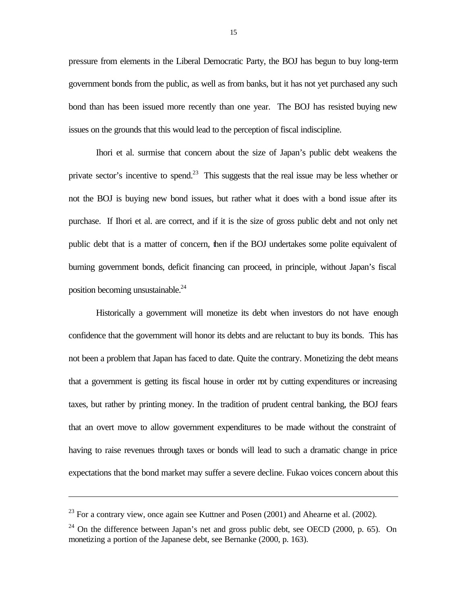pressure from elements in the Liberal Democratic Party, the BOJ has begun to buy long-term government bonds from the public, as well as from banks, but it has not yet purchased any such bond than has been issued more recently than one year. The BOJ has resisted buying new issues on the grounds that this would lead to the perception of fiscal indiscipline.

Ihori et al. surmise that concern about the size of Japan's public debt weakens the private sector's incentive to spend.<sup>23</sup> This suggests that the real issue may be less whether or not the BOJ is buying new bond issues, but rather what it does with a bond issue after its purchase. If Ihori et al. are correct, and if it is the size of gross public debt and not only net public debt that is a matter of concern, then if the BOJ undertakes some polite equivalent of burning government bonds, deficit financing can proceed, in principle, without Japan's fiscal position becoming unsustainable.<sup>24</sup>

Historically a government will monetize its debt when investors do not have enough confidence that the government will honor its debts and are reluctant to buy its bonds. This has not been a problem that Japan has faced to date. Quite the contrary. Monetizing the debt means that a government is getting its fiscal house in order not by cutting expenditures or increasing taxes, but rather by printing money. In the tradition of prudent central banking, the BOJ fears that an overt move to allow government expenditures to be made without the constraint of having to raise revenues through taxes or bonds will lead to such a dramatic change in price expectations that the bond market may suffer a severe decline. Fukao voices concern about this

 $^{23}$  For a contrary view, once again see Kuttner and Posen (2001) and Ahearne et al. (2002).

 $^{24}$  On the difference between Japan's net and gross public debt, see OECD (2000, p. 65). On monetizing a portion of the Japanese debt, see Bernanke (2000, p. 163).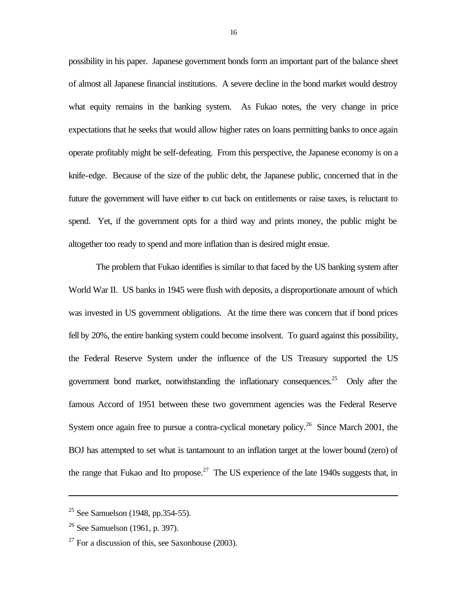possibility in his paper. Japanese government bonds form an important part of the balance sheet of almost all Japanese financial institutions. A severe decline in the bond market would destroy what equity remains in the banking system. As Fukao notes, the very change in price expectations that he seeks that would allow higher rates on loans permitting banks to once again operate profitably might be self-defeating. From this perspective, the Japanese economy is on a knife-edge. Because of the size of the public debt, the Japanese public, concerned that in the future the government will have either to cut back on entitlements or raise taxes, is reluctant to spend. Yet, if the government opts for a third way and prints money, the public might be altogether too ready to spend and more inflation than is desired might ensue.

The problem that Fukao identifies is similar to that faced by the US banking system after World War II. US banks in 1945 were flush with deposits, a disproportionate amount of which was invested in US government obligations. At the time there was concern that if bond prices fell by 20%, the entire banking system could become insolvent. To guard against this possibility, the Federal Reserve System under the influence of the US Treasury supported the US government bond market, notwithstanding the inflationary consequences.<sup>25</sup> Only after the famous Accord of 1951 between these two government agencies was the Federal Reserve System once again free to pursue a contra-cyclical monetary policy.<sup>26</sup> Since March 2001, the BOJ has attempted to set what is tantamount to an inflation target at the lower bound (zero) of the range that Fukao and Ito propose.<sup>27</sup> The US experience of the late 1940s suggests that, in

 $25$  See Samuelson (1948, pp.354-55).

 $26$  See Samuelson (1961, p. 397).

 $27$  For a discussion of this, see Saxonhouse (2003).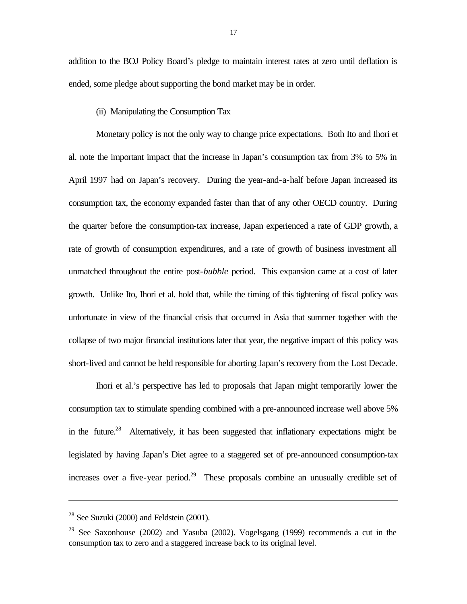addition to the BOJ Policy Board's pledge to maintain interest rates at zero until deflation is ended, some pledge about supporting the bond market may be in order.

#### (ii) Manipulating the Consumption Tax

Monetary policy is not the only way to change price expectations. Both Ito and Ihori et al. note the important impact that the increase in Japan's consumption tax from 3% to 5% in April 1997 had on Japan's recovery. During the year-and-a-half before Japan increased its consumption tax, the economy expanded faster than that of any other OECD country. During the quarter before the consumption-tax increase, Japan experienced a rate of GDP growth, a rate of growth of consumption expenditures, and a rate of growth of business investment all unmatched throughout the entire post-*bubble* period. This expansion came at a cost of later growth. Unlike Ito, Ihori et al. hold that, while the timing of this tightening of fiscal policy was unfortunate in view of the financial crisis that occurred in Asia that summer together with the collapse of two major financial institutions later that year, the negative impact of this policy was short-lived and cannot be held responsible for aborting Japan's recovery from the Lost Decade.

Ihori et al.'s perspective has led to proposals that Japan might temporarily lower the consumption tax to stimulate spending combined with a pre-announced increase well above 5% in the future.<sup>28</sup> Alternatively, it has been suggested that inflationary expectations might be legislated by having Japan's Diet agree to a staggered set of pre-announced consumption-tax increases over a five-year period.<sup>29</sup> These proposals combine an unusually credible set of

<sup>&</sup>lt;sup>28</sup> See Suzuki (2000) and Feldstein (2001).

<sup>29</sup> See Saxonhouse (2002) and Yasuba (2002). Vogelsgang (1999) recommends a cut in the consumption tax to zero and a staggered increase back to its original level.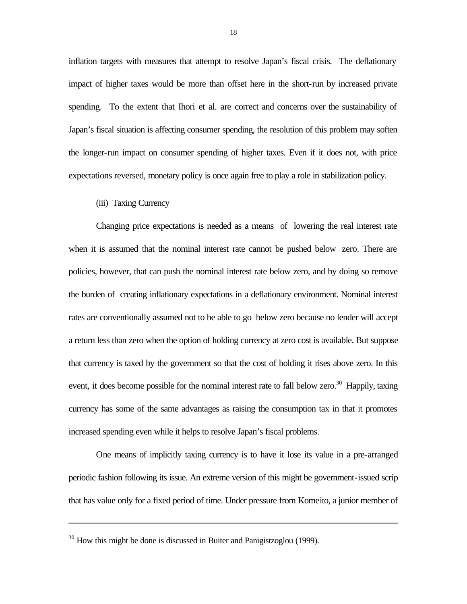inflation targets with measures that attempt to resolve Japan's fiscal crisis. The deflationary impact of higher taxes would be more than offset here in the short-run by increased private spending. To the extent that Ihori et al. are correct and concerns over the sustainability of Japan's fiscal situation is affecting consumer spending, the resolution of this problem may soften the longer-run impact on consumer spending of higher taxes. Even if it does not, with price expectations reversed, monetary policy is once again free to play a role in stabilization policy.

#### (iii) Taxing Currency

l

Changing price expectations is needed as a means of lowering the real interest rate when it is assumed that the nominal interest rate cannot be pushed below zero. There are policies, however, that can push the nominal interest rate below zero, and by doing so remove the burden of creating inflationary expectations in a deflationary environment. Nominal interest rates are conventionally assumed not to be able to go below zero because no lender will accept a return less than zero when the option of holding currency at zero cost is available. But suppose that currency is taxed by the government so that the cost of holding it rises above zero. In this event, it does become possible for the nominal interest rate to fall below zero.<sup>30</sup> Happily, taxing currency has some of the same advantages as raising the consumption tax in that it promotes increased spending even while it helps to resolve Japan's fiscal problems.

One means of implicitly taxing currency is to have it lose its value in a pre-arranged periodic fashion following its issue. An extreme version of this might be government-issued scrip that has value only for a fixed period of time. Under pressure from Komeito, a junior member of

 $30$  How this might be done is discussed in Buiter and Panigistzoglou (1999).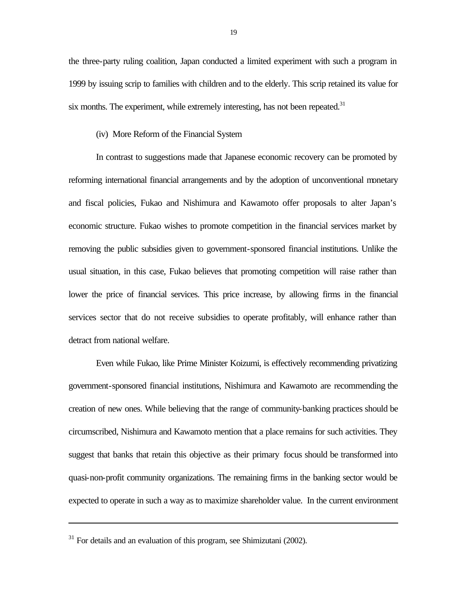the three-party ruling coalition, Japan conducted a limited experiment with such a program in 1999 by issuing scrip to families with children and to the elderly. This scrip retained its value for six months. The experiment, while extremely interesting, has not been repeated.<sup>31</sup>

#### (iv) More Reform of the Financial System

In contrast to suggestions made that Japanese economic recovery can be promoted by reforming international financial arrangements and by the adoption of unconventional monetary and fiscal policies, Fukao and Nishimura and Kawamoto offer proposals to alter Japan's economic structure. Fukao wishes to promote competition in the financial services market by removing the public subsidies given to government-sponsored financial institutions. Unlike the usual situation, in this case, Fukao believes that promoting competition will raise rather than lower the price of financial services. This price increase, by allowing firms in the financial services sector that do not receive subsidies to operate profitably, will enhance rather than detract from national welfare.

Even while Fukao, like Prime Minister Koizumi, is effectively recommending privatizing government-sponsored financial institutions, Nishimura and Kawamoto are recommending the creation of new ones. While believing that the range of community-banking practices should be circumscribed, Nishimura and Kawamoto mention that a place remains for such activities. They suggest that banks that retain this objective as their primary focus should be transformed into quasi-non-profit community organizations. The remaining firms in the banking sector would be expected to operate in such a way as to maximize shareholder value. In the current environment

 $31$  For details and an evaluation of this program, see Shimizutani (2002).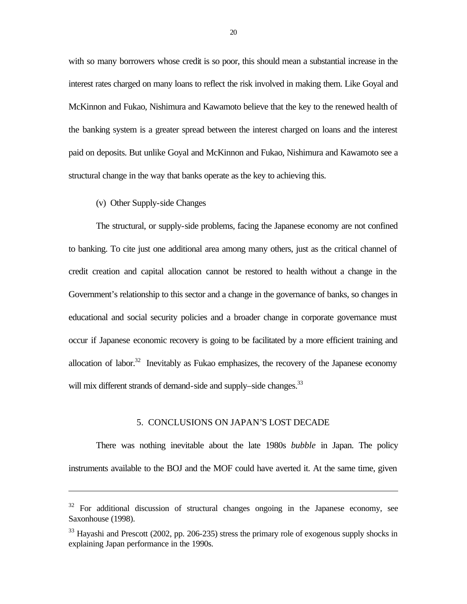with so many borrowers whose credit is so poor, this should mean a substantial increase in the interest rates charged on many loans to reflect the risk involved in making them. Like Goyal and McKinnon and Fukao, Nishimura and Kawamoto believe that the key to the renewed health of the banking system is a greater spread between the interest charged on loans and the interest paid on deposits. But unlike Goyal and McKinnon and Fukao, Nishimura and Kawamoto see a structural change in the way that banks operate as the key to achieving this.

#### (v) Other Supply-side Changes

l

The structural, or supply-side problems, facing the Japanese economy are not confined to banking. To cite just one additional area among many others, just as the critical channel of credit creation and capital allocation cannot be restored to health without a change in the Government's relationship to this sector and a change in the governance of banks, so changes in educational and social security policies and a broader change in corporate governance must occur if Japanese economic recovery is going to be facilitated by a more efficient training and allocation of labor.<sup>32</sup> Inevitably as Fukao emphasizes, the recovery of the Japanese economy will mix different strands of demand-side and supply–side changes.<sup>33</sup>

#### 5. CONCLUSIONS ON JAPAN'S LOST DECADE

There was nothing inevitable about the late 1980s *bubble* in Japan. The policy instruments available to the BOJ and the MOF could have averted it. At the same time, given

 $32$  For additional discussion of structural changes ongoing in the Japanese economy, see Saxonhouse (1998).

 $33$  Hayashi and Prescott (2002, pp. 206-235) stress the primary role of exogenous supply shocks in explaining Japan performance in the 1990s.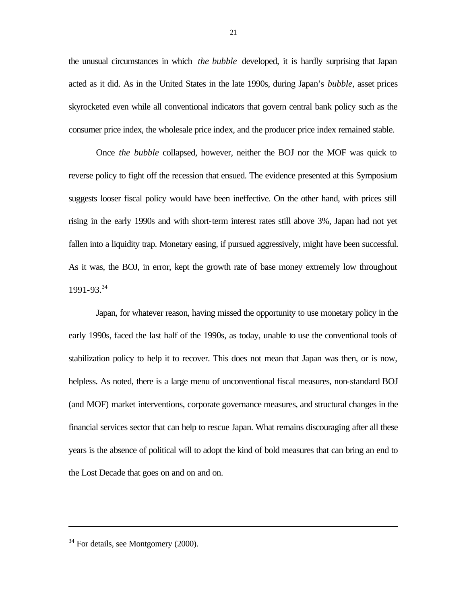the unusual circumstances in which *the bubble* developed, it is hardly surprising that Japan acted as it did. As in the United States in the late 1990s, during Japan's *bubble*, asset prices skyrocketed even while all conventional indicators that govern central bank policy such as the consumer price index, the wholesale price index, and the producer price index remained stable.

Once *the bubble* collapsed, however, neither the BOJ nor the MOF was quick to reverse policy to fight off the recession that ensued. The evidence presented at this Symposium suggests looser fiscal policy would have been ineffective. On the other hand, with prices still rising in the early 1990s and with short-term interest rates still above 3%, Japan had not yet fallen into a liquidity trap. Monetary easing, if pursued aggressively, might have been successful. As it was, the BOJ, in error, kept the growth rate of base money extremely low throughout 1991-93.<sup>34</sup>

Japan, for whatever reason, having missed the opportunity to use monetary policy in the early 1990s, faced the last half of the 1990s, as today, unable to use the conventional tools of stabilization policy to help it to recover. This does not mean that Japan was then, or is now, helpless. As noted, there is a large menu of unconventional fiscal measures, non-standard BOJ (and MOF) market interventions, corporate governance measures, and structural changes in the financial services sector that can help to rescue Japan. What remains discouraging after all these years is the absence of political will to adopt the kind of bold measures that can bring an end to the Lost Decade that goes on and on and on.

<sup>34</sup> For details, see Montgomery (2000).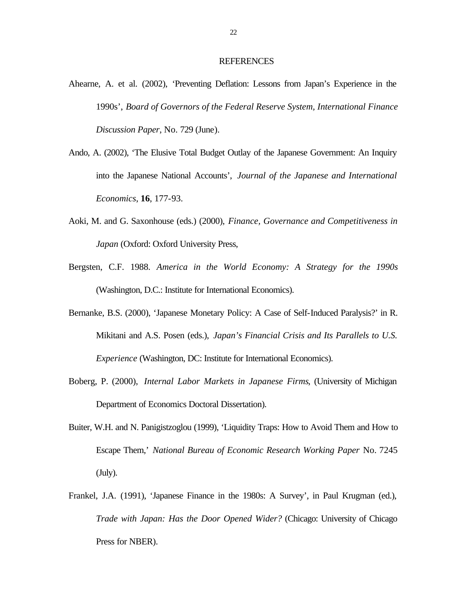#### **REFERENCES**

- Ahearne, A. et al. (2002), 'Preventing Deflation: Lessons from Japan's Experience in the 1990s', *Board of Governors of the Federal Reserve System, International Finance Discussion Paper*, No. 729 (June).
- Ando, A. (2002), 'The Elusive Total Budget Outlay of the Japanese Government: An Inquiry into the Japanese National Accounts', *Journal of the Japanese and International Economics*, **16**, 177-93.
- Aoki, M. and G. Saxonhouse (eds.) (2000), *Finance, Governance and Competitiveness in Japan* (Oxford: Oxford University Press,
- Bergsten, C.F. 1988. *America in the World Economy: A Strategy for the 1990s* (Washington, D.C.: Institute for International Economics).
- Bernanke, B.S. (2000), 'Japanese Monetary Policy: A Case of Self-Induced Paralysis?' in R. Mikitani and A.S. Posen (eds.), *Japan's Financial Crisis and Its Parallels to U.S. Experience* (Washington, DC: Institute for International Economics).
- Boberg, P. (2000), *Internal Labor Markets in Japanese Firms*, (University of Michigan Department of Economics Doctoral Dissertation).
- Buiter, W.H. and N. Panigistzoglou (1999), 'Liquidity Traps: How to Avoid Them and How to Escape Them,' *National Bureau of Economic Research Working Paper* No. 7245 (July).
- Frankel, J.A. (1991), 'Japanese Finance in the 1980s: A Survey', in Paul Krugman (ed.), *Trade with Japan: Has the Door Opened Wider?* (Chicago: University of Chicago Press for NBER).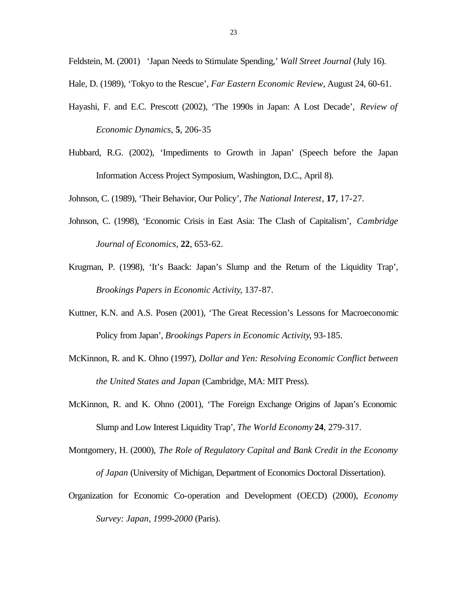Feldstein, M. (2001) 'Japan Needs to Stimulate Spending,' *Wall Street Journal* (July 16).

Hale, D. (1989), 'Tokyo to the Rescue', *Far Eastern Economic Review*, August 24, 60-61.

- Hayashi, F. and E.C. Prescott (2002), 'The 1990s in Japan: A Lost Decade', *Review of Economic Dynamics*, **5**, 206-35
- Hubbard, R.G. (2002), 'Impediments to Growth in Japan' (Speech before the Japan Information Access Project Symposium, Washington, D.C., April 8).

Johnson, C. (1989), 'Their Behavior, Our Policy', *The National Interest*, **17**, 17-27.

- Johnson, C. (1998), 'Economic Crisis in East Asia: The Clash of Capitalism', *Cambridge Journal of Economics*, **22**, 653-62.
- Krugman, P. (1998), 'It's Baack: Japan's Slump and the Return of the Liquidity Trap', *Brookings Papers in Economic Activity*, 137-87.
- Kuttner, K.N. and A.S. Posen (2001), 'The Great Recession's Lessons for Macroeconomic Policy from Japan', *Brookings Papers in Economic Activity*, 93-185.
- McKinnon, R. and K. Ohno (1997), *Dollar and Yen: Resolving Economic Conflict between the United States and Japan* (Cambridge, MA: MIT Press).
- McKinnon, R. and K. Ohno (2001), 'The Foreign Exchange Origins of Japan's Economic Slump and Low Interest Liquidity Trap', *The World Economy* **24**, 279-317.
- Montgomery, H. (2000), *The Role of Regulatory Capital and Bank Credit in the Economy of Japan* (University of Michigan, Department of Economics Doctoral Dissertation).
- Organization for Economic Co-operation and Development (OECD) (2000), *Economy Survey: Japan, 1999-2000* (Paris).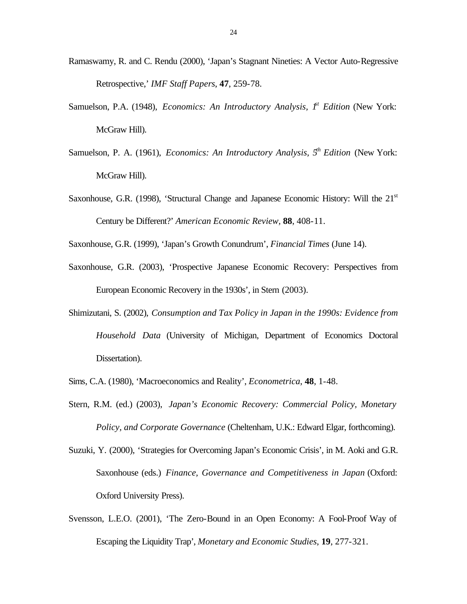- Ramaswamy, R. and C. Rendu (2000), 'Japan's Stagnant Nineties: A Vector Auto-Regressive Retrospective,' *IMF Staff Papers*, **47**, 259-78.
- Samuelson, P.A. (1948), *Economics: An Introductory Analysis,*  $I^t$  Edition (New York: McGraw Hill).
- Samuelson, P. A. (1961), *Economics: An Introductory Analysis, 5th Edition* (New York: McGraw Hill).
- Saxonhouse, G.R. (1998), 'Structural Change and Japanese Economic History: Will the  $21<sup>st</sup>$ Century be Different?' *American Economic Review,* **88**, 408-11.

Saxonhouse, G.R. (1999), 'Japan's Growth Conundrum', *Financial Times* (June 14).

- Saxonhouse, G.R. (2003), 'Prospective Japanese Economic Recovery: Perspectives from European Economic Recovery in the 1930s', in Stern (2003).
- Shimizutani, S. (2002), *Consumption and Tax Policy in Japan in the 1990s: Evidence from Household Data* (University of Michigan, Department of Economics Doctoral Dissertation).
- Sims, C.A. (1980), 'Macroeconomics and Reality', *Econometrica*, **48**, 1-48.
- Stern, R.M. (ed.) (2003), *Japan's Economic Recovery: Commercial Policy, Monetary Policy, and Corporate Governance* (Cheltenham, U.K.: Edward Elgar, forthcoming).
- Suzuki, Y. (2000), 'Strategies for Overcoming Japan's Economic Crisis', in M. Aoki and G.R. Saxonhouse (eds.) *Finance, Governance and Competitiveness in Japan* (Oxford: Oxford University Press).
- Svensson, L.E.O. (2001), 'The Zero-Bound in an Open Economy: A Fool-Proof Way of Escaping the Liquidity Trap', *Monetary and Economic Studies*, **19**, 277-321.